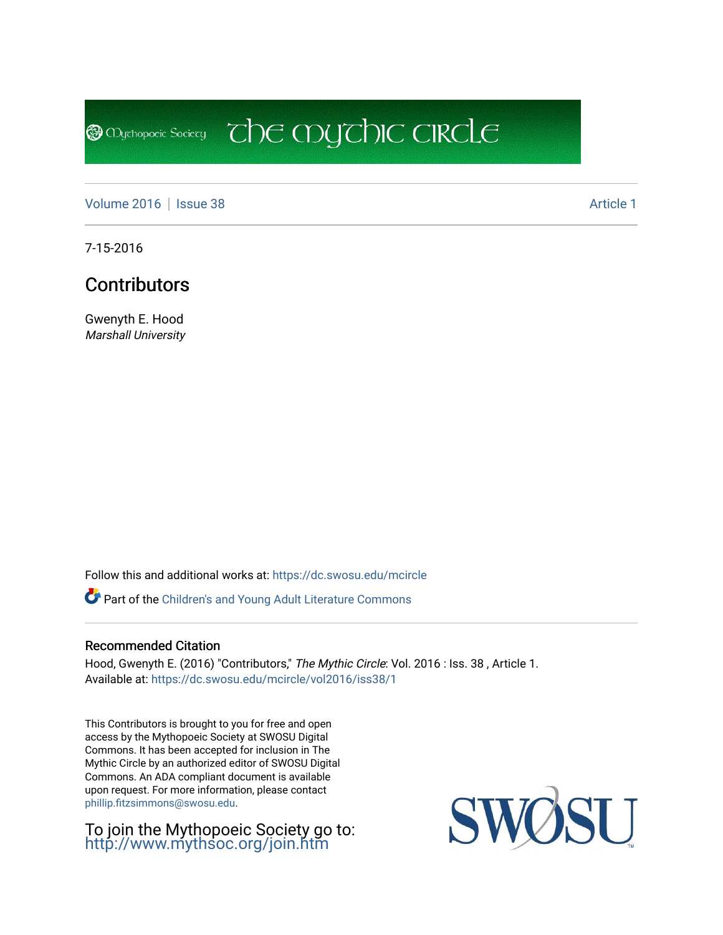**@** Mychopoeic Sociecy

[Volume 2016](https://dc.swosu.edu/mcircle/vol2016) | [Issue 38](https://dc.swosu.edu/mcircle/vol2016/iss38) Article 1

7-15-2016

## **Contributors**

Gwenyth E. Hood Marshall University

Follow this and additional works at: [https://dc.swosu.edu/mcircle](https://dc.swosu.edu/mcircle?utm_source=dc.swosu.edu%2Fmcircle%2Fvol2016%2Fiss38%2F1&utm_medium=PDF&utm_campaign=PDFCoverPages) 

Part of the [Children's and Young Adult Literature Commons](http://network.bepress.com/hgg/discipline/1289?utm_source=dc.swosu.edu%2Fmcircle%2Fvol2016%2Fiss38%2F1&utm_medium=PDF&utm_campaign=PDFCoverPages) 

## Recommended Citation

Hood, Gwenyth E. (2016) "Contributors," The Mythic Circle: Vol. 2016 : Iss. 38 , Article 1. Available at: [https://dc.swosu.edu/mcircle/vol2016/iss38/1](https://dc.swosu.edu/mcircle/vol2016/iss38/1?utm_source=dc.swosu.edu%2Fmcircle%2Fvol2016%2Fiss38%2F1&utm_medium=PDF&utm_campaign=PDFCoverPages)

 $\overline{c}$  the mychic circle

This Contributors is brought to you for free and open access by the Mythopoeic Society at SWOSU Digital Commons. It has been accepted for inclusion in The Mythic Circle by an authorized editor of SWOSU Digital Commons. An ADA compliant document is available upon request. For more information, please contact [phillip.fitzsimmons@swosu.edu](mailto:phillip.fitzsimmons@swosu.edu).

To join the Mythopoeic Society go to: <http://www.mythsoc.org/join.htm>

SWOSU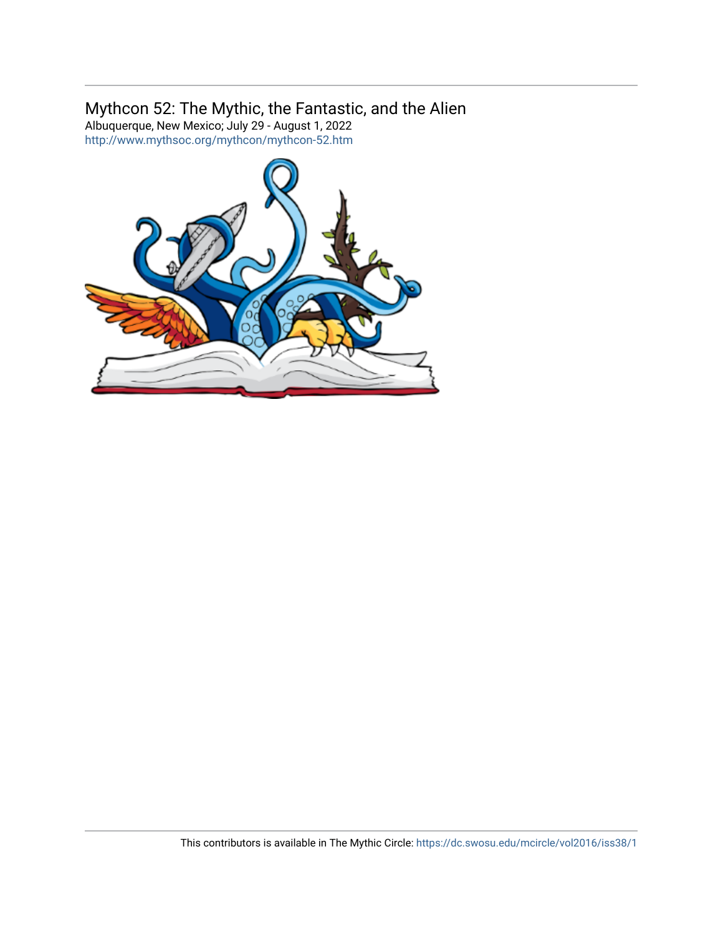## Mythcon 52: The Mythic, the Fantastic, and the Alien

Albuquerque, New Mexico; July 29 - August 1, 2022 <http://www.mythsoc.org/mythcon/mythcon-52.htm>

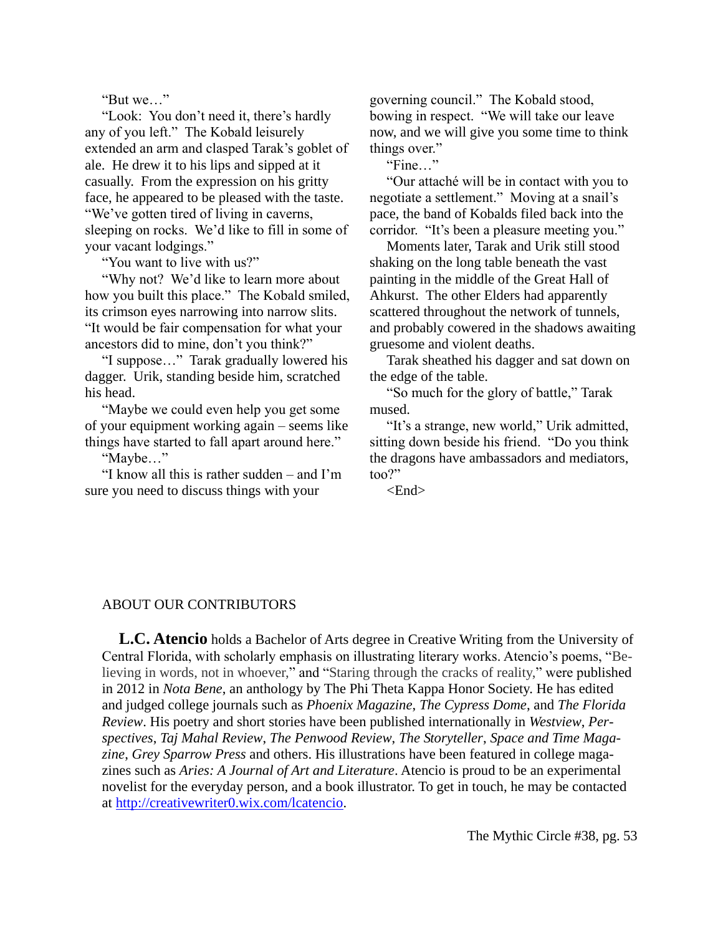"But we…"

"Look: You don't need it, there's hardly any of you left." The Kobald leisurely extended an arm and clasped Tarak's goblet of ale. He drew it to his lips and sipped at it casually. From the expression on his gritty face, he appeared to be pleased with the taste. "We've gotten tired of living in caverns, sleeping on rocks. We'd like to fill in some of your vacant lodgings."

"You want to live with us?"

"Why not? We'd like to learn more about how you built this place." The Kobald smiled, its crimson eyes narrowing into narrow slits. "It would be fair compensation for what your ancestors did to mine, don't you think?"

"I suppose…" Tarak gradually lowered his dagger. Urik, standing beside him, scratched his head.

"Maybe we could even help you get some of your equipment working again – seems like things have started to fall apart around here."

"Maybe…"

"I know all this is rather sudden – and I'm sure you need to discuss things with your

governing council." The Kobald stood, bowing in respect. "We will take our leave now, and we will give you some time to think things over."

"Fine…"

"Our attaché will be in contact with you to negotiate a settlement." Moving at a snail's pace, the band of Kobalds filed back into the corridor. "It's been a pleasure meeting you."

Moments later, Tarak and Urik still stood shaking on the long table beneath the vast painting in the middle of the Great Hall of Ahkurst. The other Elders had apparently scattered throughout the network of tunnels, and probably cowered in the shadows awaiting gruesome and violent deaths.

Tarak sheathed his dagger and sat down on the edge of the table.

"So much for the glory of battle," Tarak mused.

"It's a strange, new world," Urik admitted, sitting down beside his friend. "Do you think the dragons have ambassadors and mediators, too?"

 $\epsilon$ End $\epsilon$ 

## ABOUT OUR CONTRIBUTORS

**L.C. Atencio** holds a Bachelor of Arts degree in Creative Writing from the University of Central Florida, with scholarly emphasis on illustrating literary works. Atencio's poems, "Believing in words, not in whoever," and "Staring through the cracks of reality," were published in 2012 in *Nota Bene*, an anthology by The Phi Theta Kappa Honor Society. He has edited and judged college journals such as *Phoenix Magazine*, *The Cypress Dome*, and *The Florida Review*. His poetry and short stories have been published internationally in *Westview*, *Perspectives*, *Taj Mahal Review*, *The Penwood Review*, *The Storyteller*, *Space and Time Magazine*, *Grey Sparrow Press* and others. His illustrations have been featured in college magazines such as *Aries: A Journal of Art and Literature*. Atencio is proud to be an experimental novelist for the everyday person, and a book illustrator. To get in touch, he may be contacted at [http://creativewriter0.wix.com/lcatencio.](http://creativewriter0.wix.com/lcatencio)

The Mythic Circle #38, pg. 53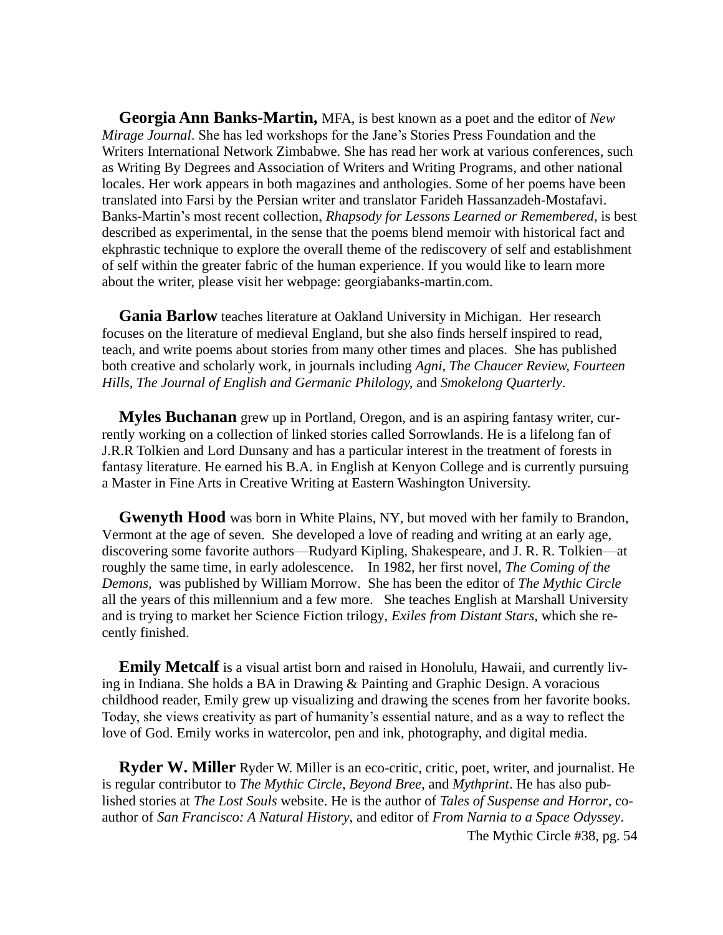**Georgia Ann Banks-Martin,** MFA, is best known as a poet and the editor of *New Mirage Journal*. She has led workshops for the Jane's Stories Press Foundation and the Writers International Network Zimbabwe. She has read her work at various conferences, such as Writing By Degrees and Association of Writers and Writing Programs, and other national locales. Her work appears in both magazines and anthologies. Some of her poems have been translated into Farsi by the Persian writer and translator Farideh Hassanzadeh-Mostafavi. Banks-Martin's most recent collection, *Rhapsody for Lessons Learned or Remembered*, is best described as experimental, in the sense that the poems blend memoir with historical fact and ekphrastic technique to explore the overall theme of the rediscovery of self and establishment of self within the greater fabric of the human experience. If you would like to learn more about the writer, please visit her webpage: georgiabanks-martin.com.

**Gania Barlow** teaches literature at Oakland University in Michigan. Her research focuses on the literature of medieval England, but she also finds herself inspired to read, teach, and write poems about stories from many other times and places. She has published both creative and scholarly work, in journals including *Agni, The Chaucer Review, Fourteen Hills, The Journal of English and Germanic Philology,* and *Smokelong Quarterly*.

**Myles Buchanan** grew up in Portland, Oregon, and is an aspiring fantasy writer, currently working on a collection of linked stories called Sorrowlands. He is a lifelong fan of J.R.R Tolkien and Lord Dunsany and has a particular interest in the treatment of forests in fantasy literature. He earned his B.A. in English at Kenyon College and is currently pursuing a Master in Fine Arts in Creative Writing at Eastern Washington University.

**Gwenyth Hood** was born in White Plains, NY, but moved with her family to Brandon, Vermont at the age of seven. She developed a love of reading and writing at an early age, discovering some favorite authors—Rudyard Kipling, Shakespeare, and J. R. R. Tolkien—at roughly the same time, in early adolescence. In 1982, her first novel, *The Coming of the Demons,* was published by William Morrow. She has been the editor of *The Mythic Circle* all the years of this millennium and a few more. She teaches English at Marshall University and is trying to market her Science Fiction trilogy, *Exiles from Distant Stars*, which she recently finished.

**Emily Metcalf** is a visual artist born and raised in Honolulu, Hawaii, and currently living in Indiana. She holds a BA in Drawing & Painting and Graphic Design. A voracious childhood reader, Emily grew up visualizing and drawing the scenes from her favorite books. Today, she views creativity as part of humanity's essential nature, and as a way to reflect the love of God. Emily works in watercolor, pen and ink, photography, and digital media.

**Ryder W. Miller** Ryder W. Miller is an eco-critic, critic, poet, writer, and journalist. He is regular contributor to *The Mythic Circle*, *Beyond Bree*, and *Mythprint*. He has also published stories at *The Lost Souls* website. He is the author of *Tales of Suspense and Horror*, coauthor of *San Francisco: A Natural History*, and editor of *From Narnia to a Space Odyssey*.

The Mythic Circle #38, pg. 54